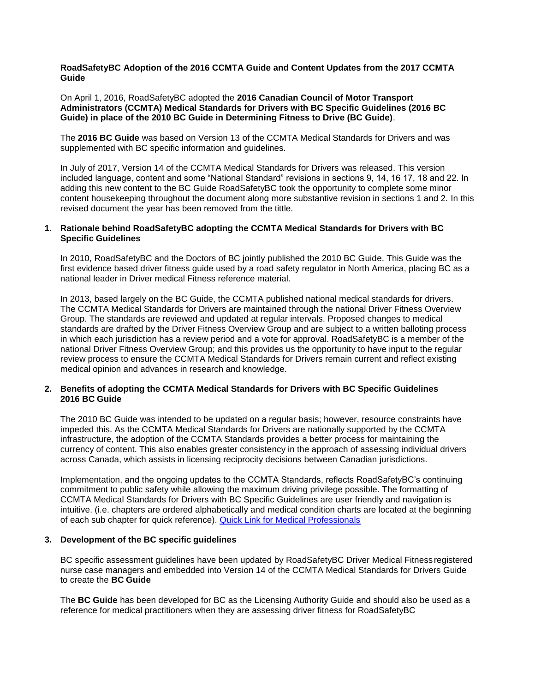**RoadSafetyBC Adoption of the 2016 CCMTA Guide and Content Updates from the 2017 CCMTA Guide**

On April 1, 2016, RoadSafetyBC adopted the **2016 Canadian Council of Motor Transport Administrators (CCMTA) Medical Standards for Drivers with BC Specific Guidelines (2016 BC Guide) in place of the 2010 BC Guide in Determining Fitness to Drive (BC Guide)**.

The **2016 BC Guide** was based on Version 13 of the CCMTA Medical Standards for Drivers and was supplemented with BC specific information and guidelines.

In July of 2017, Version 14 of the CCMTA Medical Standards for Drivers was released. This version included language, content and some "National Standard" revisions in sections 9, 14, 16 17, 18 and 22. In adding this new content to the BC Guide RoadSafetyBC took the opportunity to complete some minor content housekeeping throughout the document along more substantive revision in sections 1 and 2. In this revised document the year has been removed from the tittle.

### **1. Rationale behind RoadSafetyBC adopting the CCMTA Medical Standards for Drivers with BC Specific Guidelines**

In 2010, RoadSafetyBC and the Doctors of BC jointly published the 2010 BC Guide. This Guide was the first evidence based driver fitness guide used by a road safety regulator in North America, placing BC as a national leader in Driver medical Fitness reference material.

In 2013, based largely on the BC Guide, the CCMTA published national medical standards for drivers. The CCMTA Medical Standards for Drivers are maintained through the national Driver Fitness Overview Group. The standards are reviewed and updated at regular intervals. Proposed changes to medical standards are drafted by the Driver Fitness Overview Group and are subject to a written balloting process in which each jurisdiction has a review period and a vote for approval. RoadSafetyBC is a member of the national Driver Fitness Overview Group; and this provides us the opportunity to have input to the regular review process to ensure the CCMTA Medical Standards for Drivers remain current and reflect existing medical opinion and advances in research and knowledge.

### **2. Benefits of adopting the CCMTA Medical Standards for Drivers with BC Specific Guidelines 2016 BC Guide**

The 2010 BC Guide was intended to be updated on a regular basis; however, resource constraints have impeded this. As the CCMTA Medical Standards for Drivers are nationally supported by the CCMTA infrastructure, the adoption of the CCMTA Standards provides a better process for maintaining the currency of content. This also enables greater consistency in the approach of assessing individual drivers across Canada, which assists in licensing reciprocity decisions between Canadian jurisdictions.

Implementation, and the ongoing updates to the CCMTA Standards, reflects RoadSafetyBC's continuing commitment to public safety while allowing the maximum driving privilege possible. The formatting of CCMTA Medical Standards for Drivers with BC Specific Guidelines are user friendly and navigation is intuitive. (i.e. chapters are ordered alphabetically and medical condition charts are located at the beginning of each sub chapter for quick reference). [Quick Link for Medical Professionals](https://www2.gov.bc.ca/gov/content/transportation/driving-and-cycling/driver-medical/driver-medical-fitness/driver-medical-fitness-information-for-medical-professionals)

### **3. Development of the BC specific guidelines**

BC specific assessment guidelines have been updated by RoadSafetyBC Driver Medical Fitness registered nurse case managers and embedded into Version 14 of the CCMTA Medical Standards for Drivers Guide to create the **BC Guide**

The **BC Guide** has been developed for BC as the Licensing Authority Guide and should also be used as a reference for medical practitioners when they are assessing driver fitness for RoadSafetyBC